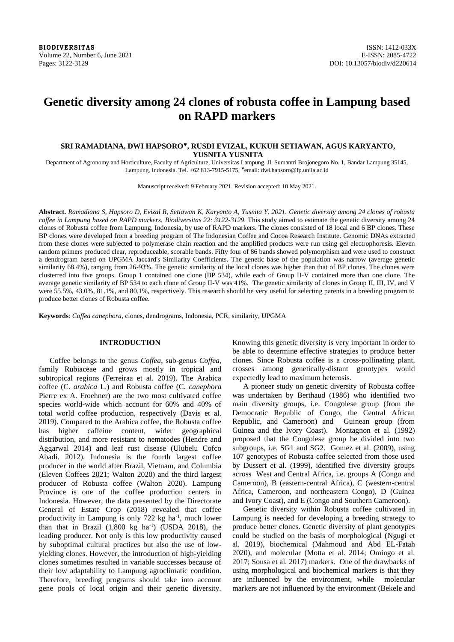# **Genetic diversity among 24 clones of robusta coffee in Lampung based on RAPD markers**

## **SRI RAMADIANA, DWI HAPSORO, RUSDI EVIZAL, KUKUH SETIAWAN, AGUS KARYANTO, YUSNITA YUSNITA**

Department of Agronomy and Horticulture, Faculty of Agriculture, Universitas Lampung. Jl. Sumantri Brojonegoro No. 1, Bandar Lampung 35145, Lampung, Indonesia. Tel. +62 813-7915-5175, email: dwi.hapsoro@fp.unila.ac.id

Manuscript received: 9 February 2021. Revision accepted: 10 May 2021.

**Abstract.** *Ramadiana S, Hapsoro D, Evizal R, Setiawan K, Karyanto A, Yusnita Y. 2021. Genetic diversity among 24 clones of robusta coffee in Lampung based on RAPD markers. Biodiversitas 22: 3122-3129.* This study aimed to estimate the genetic diversity among 24 clones of Robusta coffee from Lampung, Indonesia, by use of RAPD markers. The clones consisted of 18 local and 6 BP clones. These BP clones were developed from a breeding program of The Indonesian Coffee and Cocoa Research Institute. Genomic DNAs extracted from these clones were subjected to polymerase chain reaction and the amplified products were run using gel electrophoresis. Eleven random primers produced clear, reproduceable, scorable bands. Fifty four of 86 bands showed polymorphism and were used to construct a dendrogram based on UPGMA Jaccard's Similarity Coefficients. The genetic base of the population was narrow (average genetic similarity 68.4%), ranging from 26-93%. The genetic similarity of the local clones was higher than that of BP clones. The clones were clusterred into five groups. Group 1 contained one clone (BP 534), while each of Group II-V contained more than one clone. The average genetic similarity of BP 534 to each clone of Group II-V was 41%. The genetic similarity of clones in Group II, III, IV, and V were 55.5%, 43.0%, 81.1%, and 80.1%, respectively. This research should be very useful for selecting parents in a breeding program to produce better clones of Robusta coffee.

**Keywords**: *Coffea canephora*, clones, dendrograms, Indonesia, PCR, similarity, UPGMA

## **INTRODUCTION**

Coffee belongs to the genus *Coffea*, sub-genus *Coffea*, family Rubiaceae and grows mostly in tropical and subtropical regions (Ferreiraa et al. 2019). The Arabica coffee (C. *arabica* L.) and Robusta coffee (C. *canephora* Pierre ex A. Froehner) are the two most cultivated coffee species world-wide which account for 60% and 40% of total world coffee production, respectively (Davis et al. 2019). Compared to the Arabica coffee, the Robusta coffee has higher caffeine content, wider geographical distribution, and more resistant to nematodes (Hendre and Aggarwal 2014) and leaf rust disease (Ulubelu Cofco Abadi. 2012). Indonesia is the fourth largest coffee producer in the world after Brazil, Vietnam, and Columbia (Eleven Coffees 2021; Walton 2020) and the third largest producer of Robusta coffee (Walton 2020). Lampung Province is one of the coffee production centers in Indonesia. However, the data presented by the Directorate General of Estate Crop (2018) revealed that coffee productivity in Lampung is only 722 kg ha<sup>-1</sup>, much lower than that in Brazil  $(1,800 \text{ kg } \text{ha}^{-1})$  (USDA 2018), the leading producer. Not only is this low productivity caused by suboptimal cultural practices but also the use of lowyielding clones. However, the introduction of high-yielding clones sometimes resulted in variable successes because of their low adaptability to Lampung agroclimatic condition. Therefore, breeding programs should take into account gene pools of local origin and their genetic diversity.

Knowing this genetic diversity is very important in order to be able to determine effective strategies to produce better clones. Since Robusta coffee is a cross-pollinating plant, crosses among genetically-distant genotypes would expectedly lead to maximum heterosis.

A pioneer study on genetic diversity of Robusta coffee was undertaken by Berthaud (1986) who identified two main diversity groups, i.e. Congolese group (from the Democratic Republic of Congo, the Central African Republic, and Cameroon) and Guinean group (from Guinea and the Ivory Coast). Montagnon et al. (1992) proposed that the Congolese group be divided into two subgroups, i.e. SG1 and SG2. Gomez et al. (2009), using 107 genotypes of Robusta coffee selected from those used by Dussert et al. (1999), identified five diversity groups across West and Central Africa, i.e. groups A (Congo and Cameroon), B (eastern-central Africa), C (western-central Africa, Cameroon, and northeastern Congo), D (Guinea and Ivory Coast), and E (Congo and Southern Cameroon).

Genetic diversity within Robusta coffee cultivated in Lampung is needed for developing a breeding strategy to produce better clones. Genetic diversity of plant genotypes could be studied on the basis of morphological (Ngugi et al. 2019), biochemical (Mahmoud and Abd EL-Fatah 2020), and molecular (Motta et al. 2014; Omingo et al. 2017; Sousa et al. 2017) markers. One of the drawbacks of using morphological and biochemical markers is that they are influenced by the environment, while molecular markers are not influenced by the environment (Bekele and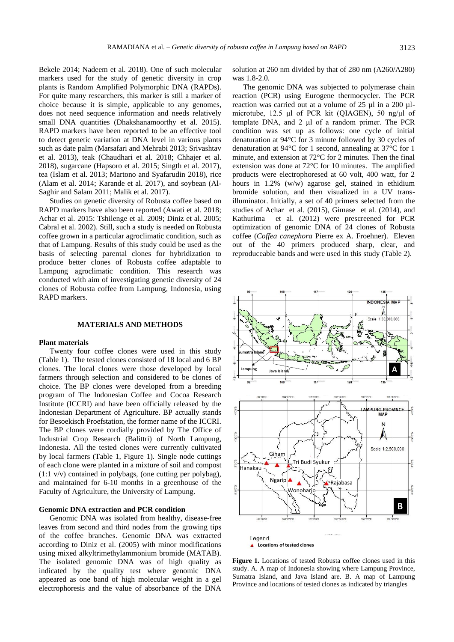Bekele 2014; Nadeem et al. 2018). One of such molecular markers used for the study of genetic diversity in crop plants is Random Amplified Polymorphic DNA (RAPDs). For quite many researchers, this marker is still a marker of choice because it is simple, applicable to any genomes, does not need sequence information and needs relatively small DNA quantities (Dhakshanamoorthy et al. 2015). RAPD markers have been reported to be an effective tool to detect genetic variation at DNA level in various plants such as date palm (Marsafari and Mehrabi 2013; Srivashtav et al. 2013), teak (Chaudhari et al. 2018; Chhajer et al. 2018), sugarcane (Hapsoro et al. 2015; Singth et al. 2017), tea (Islam et al. 2013; Martono and Syafarudin 2018), rice (Alam et al. 2014; Karande et al. 2017), and soybean (Al-Saghir and Salam 2011; Malik et al. 2017).

Studies on genetic diversity of Robusta coffee based on RAPD markers have also been reported (Awati et al. 2018; Achar et al. 2015: Tshilenge et al. 2009; Diniz et al. 2005; Cabral et al. 2002). Still, such a study is needed on Robusta coffee grown in a particular agroclimatic condition, such as that of Lampung. Results of this study could be used as the basis of selecting parental clones for hybridization to produce better clones of Robusta coffee adaptable to Lampung agroclimatic condition. This research was conducted with aim of investigating genetic diversity of 24 clones of Robusta coffee from Lampung, Indonesia, using RAPD markers.

#### **MATERIALS AND METHODS**

#### **Plant materials**

Twenty four coffee clones were used in this study (Table 1). The tested clones consisted of 18 local and 6 BP clones. The local clones were those developed by local farmers through selection and considered to be clones of choice. The BP clones were developed from a breeding program of The Indonesian Coffee and Cocoa Research Institute (ICCRI) and have been officially released by the Indonesian Department of Agriculture. BP actually stands for Besoekisch Proefstation, the former name of the ICCRI. The BP clones were cordially provided by The Office of Industrial Crop Research (Balittri) of North Lampung, Indonesia. All the tested clones were currently cultivated by local farmers (Table 1, Figure 1). Single node cuttings of each clone were planted in a mixture of soil and compost (1:1 v/v) contained in polybags, (one cutting per polybag), and maintained for 6-10 months in a greenhouse of the Faculty of Agriculture, the University of Lampung.

#### **Genomic DNA extraction and PCR condition**

Genomic DNA was isolated from healthy, disease-free leaves from second and third nodes from the growing tips of the coffee branches. Genomic DNA was extracted according to Diniz et al. (2005) with minor modifications using mixed alkyltrimethylammonium bromide (MATAB). The isolated genomic DNA was of high quality as indicated by the quality test where genomic DNA appeared as one band of high molecular weight in a gel electrophoresis and the value of absorbance of the DNA

solution at 260 nm divided by that of 280 nm (A260/A280) was 1.8-2.0.

The genomic DNA was subjected to polymerase chain reaction (PCR) using Eurogene thermocycler. The PCR reaction was carried out at a volume of 25 µl in a 200 µlmicrotube, 12.5 μl of PCR kit (QIAGEN), 50 ng/μl of template DNA, and 2 μl of a random primer. The PCR condition was set up as follows: one cycle of initial denaturation at 94°C for 3 minute followed by 30 cycles of denaturation at 94°C for 1 second, annealing at 37°C for 1 minute, and extension at 72°C for 2 minutes. Then the final extension was done at 72°C for 10 minutes. The amplified products were electrophoresed at 60 volt, 400 watt, for 2 hours in 1.2% (w/w) agarose gel, stained in ethidium bromide solution, and then visualized in a UV transilluminator. Initially, a set of 40 primers selected from the studies of Achar et al. (2015), Gimase et al. (2014), and Kathurima et al. (2012) were prescreened for PCR optimization of genomic DNA of 24 clones of Robusta coffee (*Coffea canephora* Pierre ex A. Froehner). Eleven out of the 40 primers produced sharp, clear, and reproduceable bands and were used in this study (Table 2).



**Figure 1.** Locations of tested Robusta coffee clones used in this study. A. A map of Indonesia showing where Lampung Province, Sumatra Island, and Java Island are. B. A map of Lampung Province and locations of tested clones as indicated by triangles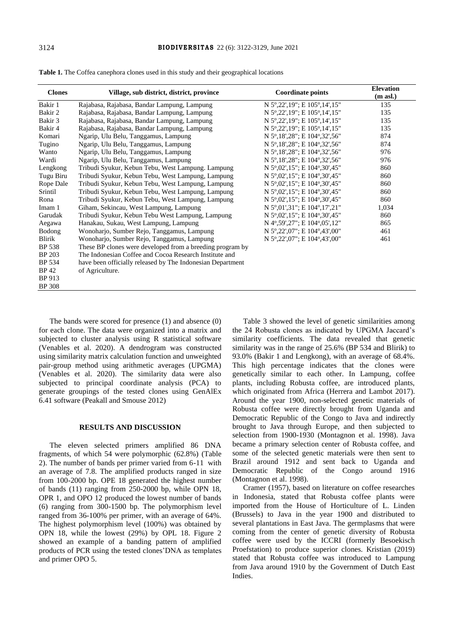| <b>Clones</b> | Village, sub district, district, province                  | <b>Coordinate points</b>     | <b>Elevation</b><br>$(m \text{ asl.})$ |
|---------------|------------------------------------------------------------|------------------------------|----------------------------------------|
| Bakir 1       | Rajabasa, Rajabasa, Bandar Lampung, Lampung                | N 5°,22',19"; E 105°,14',15" | 135                                    |
| Bakir 2       | Rajabasa, Rajabasa, Bandar Lampung, Lampung                | N 5°,22',19"; E 105°,14',15" | 135                                    |
| Bakir 3       | Rajabasa, Rajabasa, Bandar Lampung, Lampung                | N 5°,22',19"; E 105°,14',15" | 135                                    |
| Bakir 4       | Rajabasa, Rajabasa, Bandar Lampung, Lampung                | N 5°,22',19"; E 105°,14',15" | 135                                    |
| Komari        | Ngarip, Ulu Belu, Tanggamus, Lampung                       | N 5°,18',28"; E 104°,32',56" | 874                                    |
| Tugino        | Ngarip, Ulu Belu, Tanggamus, Lampung                       | N 5°,18',28"; E 104°,32',56" | 874                                    |
| Wanto         | Ngarip, Ulu Belu, Tanggamus, Lampung                       | N 5°,18',28"; E 104°,32',56" | 976                                    |
| Wardi         | Ngarip, Ulu Belu, Tanggamus, Lampung                       | N 5°,18',28"; E 104°,32',56" | 976                                    |
| Lengkong      | Tribudi Syukur, Kebun Tebu, West Lampung. Lampung          | N 5°,02',15"; E 104°,30',45" | 860                                    |
| Tugu Biru     | Tribudi Syukur, Kebun Tebu, West Lampung, Lampung          | N 5°,02',15"; E 104°,30',45" | 860                                    |
| Rope Dale     | Tribudi Syukur, Kebun Tebu, West Lampung, Lampung          | N 5°,02',15"; E 104°,30',45" | 860                                    |
| Srintil       | Tribudi Syukur, Kebun Tebu, West Lampung, Lampung          | N 5°,02',15"; E 104°,30',45" | 860                                    |
| Rona          | Tribudi Syukur, Kebun Tebu, West Lampung, Lampung          | N 5°,02',15"; E 104°,30',45" | 860                                    |
| Imam 1        | Giham, Sekincau, West Lampung, Lampung                     | N 5°,01',31"; E 104°,17',21" | 1,034                                  |
| Garudak       | Tribudi Syukur, Kebun Tebu West Lampung, Lampung           | N 5°,02',15"; E 104°,30',45" | 860                                    |
| Aegawa        | Hanakau, Sukau, West Lampung, Lampung                      | N 4°,59',27"; E 104°,05',12" | 865                                    |
| Bodong        | Wonoharjo, Sumber Rejo, Tanggamus, Lampung                 | N 5°,22',07"; E 104°,43',00" | 461                                    |
| Blirik        | Wonoharjo, Sumber Rejo, Tanggamus, Lampung                 | N 5°,22',07"; E 104°,43',00" | 461                                    |
| <b>BP 538</b> | These BP clones were developed from a breeding program by  |                              |                                        |
| <b>BP 203</b> | The Indonesian Coffee and Cocoa Research Institute and     |                              |                                        |
| BP 534        | have been officially released by The Indonesian Department |                              |                                        |
| BP 42         | of Agriculture.                                            |                              |                                        |
| BP 913        |                                                            |                              |                                        |
| <b>BP</b> 308 |                                                            |                              |                                        |

**Table 1.** The Coffea canephora clones used in this study and their geographical locations

The bands were scored for presence (1) and absence (0) for each clone. The data were organized into a matrix and subjected to cluster analysis using R statistical software (Venables et al. 2020). A dendrogram was constructed using similarity matrix calculation function and unweighted pair-group method using arithmetic averages (UPGMA) (Venables et al. 2020). The similarity data were also subjected to principal coordinate analysis (PCA) to generate groupings of the tested clones using GenAlEx 6.41 software (Peakall and Smouse 2012)

### **RESULTS AND DISCUSSION**

The eleven selected primers amplified 86 DNA fragments, of which 54 were polymorphic (62.8%) (Table 2). The number of bands per primer varied from 6-11 with an average of 7.8. The amplified products ranged in size from 100-2000 bp. OPE 18 generated the highest number of bands (11) ranging from 250-2000 bp, while OPN 18, OPR 1, and OPO 12 produced the lowest number of bands (6) ranging from 300-1500 bp. The polymorphism level ranged from 36-100% per primer, with an average of 64%. The highest polymorphism level (100%) was obtained by OPN 18, while the lowest (29%) by OPL 18. Figure 2 showed an example of a banding pattern of amplified products of PCR using the tested clones'DNA as templates and primer OPO 5.

Table 3 showed the level of genetic similarities among the 24 Robusta clones as indicated by UPGMA Jaccard's similarity coefficients. The data revealed that genetic similarity was in the range of 25.6% (BP 534 and Blirik) to 93.0% (Bakir 1 and Lengkong), with an average of 68.4%. This high percentage indicates that the clones were genetically similar to each other. In Lampung, coffee plants, including Robusta coffee, are introduced plants, which originated from Africa (Herrera and Lambot 2017). Around the year 1900, non-selected genetic materials of Robusta coffee were directly brought from Uganda and Democratic Republic of the Congo to Java and indirectly brought to Java through Europe, and then subjected to selection from 1900-1930 (Montagnon et al. 1998). Java became a primary selection center of Robusta coffee, and some of the selected genetic materials were then sent to Brazil around 1912 and sent back to Uganda and Democratic Republic of the Congo around 1916 (Montagnon et al. 1998).

Cramer (1957), based on literature on coffee researches in Indonesia, stated that Robusta coffee plants were imported from the House of Horticulture of L. Linden (Brussels) to Java in the year 1900 and distributed to several plantations in East Java. The germplasms that were coming from the center of genetic diversity of Robusta coffee were used by the ICCRI (formerly Besoekisch Proefstation) to produce superior clones. Kristian (2019) stated that Robusta coffee was introduced to Lampung from Java around 1910 by the Government of Dutch East Indies.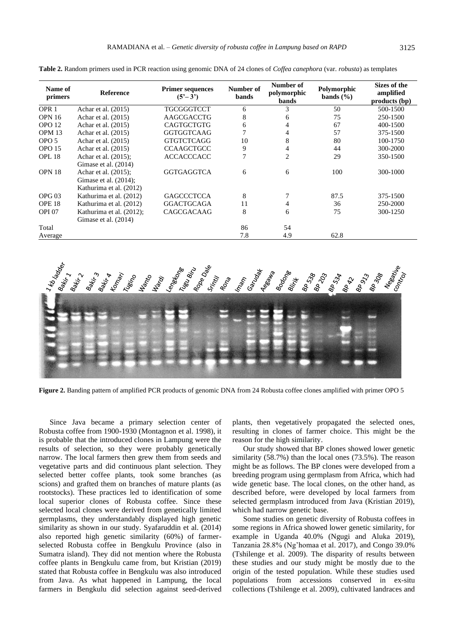| Name of<br>primers | <b>Reference</b>         | <b>Primer sequences</b><br>$(5^3 - 3^3)$ | Number of<br><b>bands</b> | Number of<br>polymorphic<br><b>bands</b> | Polymorphic<br>bands $(\% )$ | Sizes of the<br>amplified<br>products (bp) |  |  |
|--------------------|--------------------------|------------------------------------------|---------------------------|------------------------------------------|------------------------------|--------------------------------------------|--|--|
| OPR <sub>1</sub>   | Achar et al. $(2015)$    | <b>TGCGGGTCCT</b>                        | 6                         | 3                                        | 50                           | 500-1500                                   |  |  |
| <b>OPN 16</b>      | Achar et al. (2015)      | AAGCGACCTG                               | 8                         | 6                                        | 75                           | 250-1500                                   |  |  |
| OPO <sub>12</sub>  | Achar et al. (2015)      | <b>CAGTGCTGTG</b>                        | 6                         | 4                                        | 67                           | 400-1500                                   |  |  |
| OPM <sub>13</sub>  | Achar et al. (2015)      | <b>GGTGGTCAAG</b>                        |                           | 4                                        | 57                           | 375-1500                                   |  |  |
| OPO 5              | Achar et al. (2015)      | <b>GTGTCTCAGG</b>                        | 10                        | 8                                        | 80                           | 100-1750                                   |  |  |
| <b>OPO 15</b>      | Achar et al. (2015)      | <b>CCAAGCTGCC</b>                        | 9                         | 4                                        | 44                           | 300-2000                                   |  |  |
| OPL <sub>18</sub>  | Achar et al. (2015);     | <b>ACCACCCACC</b>                        | 7                         | $\overline{c}$                           | 29                           | 350-1500                                   |  |  |
|                    | Gimase et al. (2014)     |                                          |                           |                                          |                              |                                            |  |  |
| OPN 18             | Achar et al. (2015);     | <b>GGTGAGGTCA</b>                        | 6                         | 6                                        | 100                          | 300-1000                                   |  |  |
|                    | Gimase et al. $(2014)$ ; |                                          |                           |                                          |                              |                                            |  |  |
|                    | Kathurima et al. (2012)  |                                          |                           |                                          |                              |                                            |  |  |
| OPG <sub>03</sub>  | Kathurima et al. (2012)  | <b>GAGCCCTCCA</b>                        | 8                         |                                          | 87.5                         | 375-1500                                   |  |  |
| OPE <sub>18</sub>  | Kathurima et al. (2012)  | <b>GGACTGCAGA</b>                        | 11                        | 4                                        | 36                           | 250-2000                                   |  |  |
| <b>OPI 07</b>      | Kathurima et al. (2012); | CAGCGACAAG                               | 8                         | 6                                        | 75                           | 300-1250                                   |  |  |
|                    | Gimase et al. (2014)     |                                          |                           |                                          |                              |                                            |  |  |
| Total              |                          |                                          | 86                        | 54                                       |                              |                                            |  |  |
| Average            |                          |                                          | 7.8                       | 4.9                                      | 62.8                         |                                            |  |  |

**Table 2.** Random primers used in PCR reaction using genomic DNA of 24 clones of *Coffea canephora* (var. *robusta*) as templates



**Figure 2.** Banding pattern of amplified PCR products of genomic DNA from 24 Robusta coffee clones amplified with primer OPO 5

Since Java became a primary selection center of Robusta coffee from 1900-1930 (Montagnon et al. 1998), it is probable that the introduced clones in Lampung were the results of selection, so they were probably genetically narrow. The local farmers then grew them from seeds and vegetative parts and did continuous plant selection. They selected better coffee plants, took some branches (as scions) and grafted them on branches of mature plants (as rootstocks). These practices led to identification of some local superior clones of Robusta coffee. Since these selected local clones were derived from genetically limited germplasms, they understandably displayed high genetic similarity as shown in our study. Syafaruddin et al. (2014) also reported high genetic similarity (60%) of farmerselected Robusta coffee in Bengkulu Province (also in Sumatra island). They did not mention where the Robusta coffee plants in Bengkulu came from, but Kristian (2019) stated that Robusta coffee in Bengkulu was also introduced from Java. As what happened in Lampung, the local farmers in Bengkulu did selection against seed-derived

plants, then vegetatively propagated the selected ones, resulting in clones of farmer choice. This might be the reason for the high similarity.

Our study showed that BP clones showed lower genetic similarity (58.7%) than the local ones (73.5%). The reason might be as follows. The BP clones were developed from a breeding program using germplasm from Africa, which had wide genetic base. The local clones, on the other hand, as described before, were developed by local farmers from selected germplasm introduced from Java (Kristian 2019), which had narrow genetic base.

Some studies on genetic diversity of Robusta coffees in some regions in Africa showed lower genetic similarity, for example in Uganda 40.0% (Ngugi and Aluka 2019), Tanzania 28.8% (Ng'homaa et al. 2017), and Congo 39.0% (Tshilenge et al. 2009). The disparity of results between these studies and our study might be mostly due to the origin of the tested population. While these studies used populations from accessions conserved in ex-situ collections (Tshilenge et al. 2009), cultivated landraces and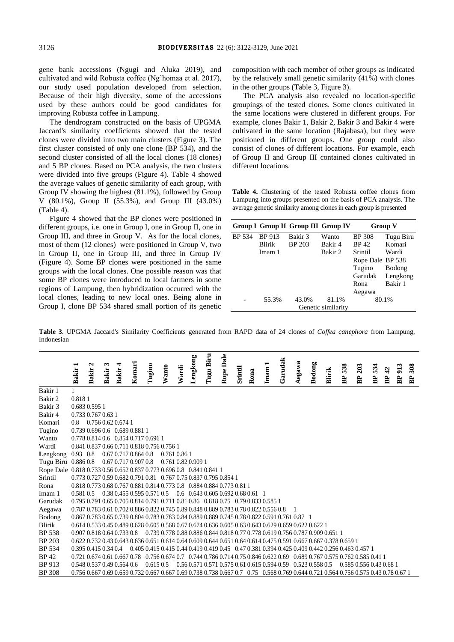gene bank accessions (Ngugi and Aluka 2019), and cultivated and wild Robusta coffee (Ng'homaa et al. 2017), our study used population developed from selection. Because of their high diversity, some of the accessions used by these authors could be good candidates for improving Robusta coffee in Lampung.

The dendrogram constructed on the basis of UPGMA Jaccard's similarity coefficients showed that the tested clones were divided into two main clusters (Figure 3). The first cluster consisted of only one clone (BP 534), and the second cluster consisted of all the local clones (18 clones) and 5 BP clones. Based on PCA analysis, the two clusters were divided into five groups (Figure 4). Table 4 showed the average values of genetic similarity of each group, with Group IV showing the highest (81.1%), followed by Group V  $(80.1\%)$ , Group II  $(55.3\%)$ , and Group III  $(43.0\%)$ (Table 4).

Figure 4 showed that the BP clones were positioned in different groups, i.e. one in Group I, one in Group II, one in Group III, and three in Group V. As for the local clones, most of them (12 clones) were positioned in Group V, two in Group II, one in Group III, and three in Group IV (Figure 4). Some BP clones were positioned in the same groups with the local clones. One possible reason was that some BP clones were introduced to local farmers in some regions of Lampung, then hybridization occurred with the local clones, leading to new local ones. Being alone in Group I, clone BP 534 shared small portion of its genetic composition with each member of other groups as indicated by the relatively small genetic similarity (41%) with clones in the other groups (Table 3, Figure 3).

The PCA analysis also revealed no location-specific groupings of the tested clones. Some clones cultivated in the same locations were clustered in different groups. For example, clones Bakir 1, Bakir 2, Bakir 3 and Bakir 4 were cultivated in the same location (Rajabasa), but they were positioned in different groups. One group could also consist of clones of different locations. For example, each of Group II and Group III contained clones cultivated in different locations.

**Table 4.** Clustering of the tested Robusta coffee clones from Lampung into groups presented on the basis of PCA analysis. The average genetic similarity among clones in each group is presented

|               |        | Group I Group II Group III Group IV |         |                  | <b>Group V</b> |  |  |  |  |
|---------------|--------|-------------------------------------|---------|------------------|----------------|--|--|--|--|
| <b>BP</b> 534 | BP 913 | Bakir 3                             | Wanto   | <b>BP</b> 308    | Tugu Biru      |  |  |  |  |
|               | Blirik | BP 203                              | Bakir 4 | <b>BP42</b>      | Komari         |  |  |  |  |
|               | Imam 1 |                                     | Bakir 2 | Srintil          | Wardi          |  |  |  |  |
|               |        |                                     |         | Rope Dale BP 538 |                |  |  |  |  |
|               |        |                                     |         | Tugino           | Bodong         |  |  |  |  |
|               |        |                                     |         | Garudak          | Lengkong       |  |  |  |  |
|               |        |                                     |         | Rona             | Bakir 1        |  |  |  |  |
|               |        |                                     |         | Aegawa           |                |  |  |  |  |
|               | 55.3%  | 43.0%                               | 81.1%   | 80.1%            |                |  |  |  |  |
|               |        |                                     |         |                  |                |  |  |  |  |

**Table 3**. UPGMA Jaccard's Similarity Coefficients generated from RAPD data of 24 clones of *Coffea canephora* from Lampung, Indonesian

|                                                                      |                  | $\mathbf{\Omega}$            | ొ            |                                                                                                                                     |        |              |                    |       |          | Biru |                                                                           |         |      |      |         |        |        |        |     |                                                                                                |                |                  |     |               |
|----------------------------------------------------------------------|------------------|------------------------------|--------------|-------------------------------------------------------------------------------------------------------------------------------------|--------|--------------|--------------------|-------|----------|------|---------------------------------------------------------------------------|---------|------|------|---------|--------|--------|--------|-----|------------------------------------------------------------------------------------------------|----------------|------------------|-----|---------------|
|                                                                      |                  |                              |              |                                                                                                                                     |        |              |                    |       |          |      |                                                                           |         |      |      |         |        |        |        | 538 | 203                                                                                            | 534            | $\boldsymbol{d}$ | 913 |               |
|                                                                      | Bakir 1          | <b>Bakir</b>                 | <b>Bakir</b> | <b>Bakir</b>                                                                                                                        | Komari | Tugino       | Wanto              | Wardi | Lengkong | Tugu | Rope Dale                                                                 | Srintil | Rona | Imam | Garudak | Aegawa | Bodong | Blirik | BP  | BP                                                                                             | B <sub>P</sub> | BP               | BP  | <b>BP 308</b> |
| Bakir 1                                                              |                  |                              |              |                                                                                                                                     |        |              |                    |       |          |      |                                                                           |         |      |      |         |        |        |        |     |                                                                                                |                |                  |     |               |
| Bakir 2                                                              | 0.8181           |                              |              |                                                                                                                                     |        |              |                    |       |          |      |                                                                           |         |      |      |         |        |        |        |     |                                                                                                |                |                  |     |               |
| Bakir 3                                                              |                  | 0.683 0.595 1                |              |                                                                                                                                     |        |              |                    |       |          |      |                                                                           |         |      |      |         |        |        |        |     |                                                                                                |                |                  |     |               |
| Bakir 4                                                              |                  | 0.733 0.767 0.63 1           |              |                                                                                                                                     |        |              |                    |       |          |      |                                                                           |         |      |      |         |        |        |        |     |                                                                                                |                |                  |     |               |
| Komari                                                               | 0.8              |                              |              | 0.756 0.62 0.674 1                                                                                                                  |        |              |                    |       |          |      |                                                                           |         |      |      |         |        |        |        |     |                                                                                                |                |                  |     |               |
| Tugino                                                               |                  |                              |              | 0.739 0.696 0.6 0.689 0.881 1                                                                                                       |        |              |                    |       |          |      |                                                                           |         |      |      |         |        |        |        |     |                                                                                                |                |                  |     |               |
| Wanto                                                                |                  |                              |              | 0.778 0.814 0.6 0.854 0.717 0.696 1                                                                                                 |        |              |                    |       |          |      |                                                                           |         |      |      |         |        |        |        |     |                                                                                                |                |                  |     |               |
| Wardi                                                                |                  |                              |              | 0.841 0.837 0.66 0.711 0.818 0.756 0.756 1                                                                                          |        |              |                    |       |          |      |                                                                           |         |      |      |         |        |        |        |     |                                                                                                |                |                  |     |               |
| Lengkong                                                             | $0.93 \quad 0.8$ |                              |              | 0.67 0.717 0.864 0.8                                                                                                                |        |              | 0.761 0.86 1       |       |          |      |                                                                           |         |      |      |         |        |        |        |     |                                                                                                |                |                  |     |               |
| Tugu Biru 0.886 0.8                                                  |                  |                              |              | 0.67 0.717 0.907 0.8                                                                                                                |        |              | 0.761 0.82 0.909 1 |       |          |      |                                                                           |         |      |      |         |        |        |        |     |                                                                                                |                |                  |     |               |
| Rope Dale 0.818 0.733 0.56 0.652 0.837 0.773 0.696 0.8 0.841 0.841 1 |                  |                              |              |                                                                                                                                     |        |              |                    |       |          |      |                                                                           |         |      |      |         |        |        |        |     |                                                                                                |                |                  |     |               |
| Srintil                                                              |                  |                              |              | 0.773 0.727 0.59 0.682 0.791 0.81 0.767 0.75 0.837 0.795 0.854 1                                                                    |        |              |                    |       |          |      |                                                                           |         |      |      |         |        |        |        |     |                                                                                                |                |                  |     |               |
| Rona                                                                 |                  |                              |              | 0.818 0.773 0.68 0.767 0.881 0.814 0.773 0.8 0.884 0.884 0.773 0.81 1                                                               |        |              |                    |       |          |      |                                                                           |         |      |      |         |        |        |        |     |                                                                                                |                |                  |     |               |
| Imam 1                                                               | 0.581 0.5        |                              |              | $0.38\,0.455\,0.595\,0.571\,0.5$ 0.6 0.643 0.605 0.692 0.68 0.61 1                                                                  |        |              |                    |       |          |      |                                                                           |         |      |      |         |        |        |        |     |                                                                                                |                |                  |     |               |
| Garudak                                                              |                  |                              |              | 0.795 0.791 0.65 0.705 0.814 0.791 0.711 0.81 0.86 0.818 0.75 0.79 0.833 0.585 1                                                    |        |              |                    |       |          |      |                                                                           |         |      |      |         |        |        |        |     |                                                                                                |                |                  |     |               |
| Aegawa                                                               |                  |                              |              | 0.787 0.783 0.61 0.702 0.886 0.822 0.745 0.89 0.848 0.889 0.783 0.78 0.822 0.556 0.8                                                |        |              |                    |       |          |      |                                                                           |         |      |      |         |        |        |        |     |                                                                                                |                |                  |     |               |
| Bodong                                                               |                  |                              |              | 0.867 0.783 0.65 0.739 0.804 0.783 0.783 0.84 0.889 0.889 0.745 0.78 0.822 0.591 0.761 0.87 1                                       |        |              |                    |       |          |      |                                                                           |         |      |      |         |        |        |        |     |                                                                                                |                |                  |     |               |
| Blirik                                                               |                  |                              |              | 0.614 0.533 0.45 0.489 0.628 0.605 0.568 0.67 0.674 0.636 0.605 0.63 0.643 0.629 0.659 0.622 0.622 1                                |        |              |                    |       |          |      |                                                                           |         |      |      |         |        |        |        |     |                                                                                                |                |                  |     |               |
| <b>BP</b> 538                                                        |                  |                              |              | 0.907 0.818 0.64 0.733 0.8 0.739 0.778 0.88 0.886 0.844 0.818 0.77 0.778 0.619 0.756 0.787 0.909 0.651 1                            |        |              |                    |       |          |      |                                                                           |         |      |      |         |        |        |        |     |                                                                                                |                |                  |     |               |
| <b>BP 203</b>                                                        |                  |                              |              | 0.622 0.732 0.43 0.643 0.636 0.651 0.614 0.64 0.609 0.644 0.651 0.64 0.614 0.475 0.591 0.667 0.667 0.378 0.659 1                    |        |              |                    |       |          |      |                                                                           |         |      |      |         |        |        |        |     |                                                                                                |                |                  |     |               |
| BP 534                                                               |                  | $0.395$ $0.415$ $0.34$ $0.4$ |              |                                                                                                                                     |        |              |                    |       |          |      |                                                                           |         |      |      |         |        |        |        |     | 0.405 0.415 0.415 0.44 0.419 0.419 0.45 0.47 0.381 0.394 0.425 0.409 0.442 0.256 0.463 0.457 1 |                |                  |     |               |
| <b>BP42</b>                                                          |                  |                              |              | 0.721 0.674 0.61 0.667 0.78 0.756 0.674 0.7 0.744 0.786 0.714 0.75 0.846 0.622 0.69 0.689 0.767 0.575 0.762 0.585 0.41 1            |        |              |                    |       |          |      |                                                                           |         |      |      |         |        |        |        |     |                                                                                                |                |                  |     |               |
| <b>BP</b> 913                                                        |                  |                              |              | 0.548 0.537 0.49 0.564 0.6                                                                                                          |        | $0.615\ 0.5$ |                    |       |          |      | $0.56\,0.571\,0.571\,0.575\,0.61\,0.615\,0.594\,0.59$ $0.523\,0.558\,0.5$ |         |      |      |         |        |        |        |     | 0.585 0.556 0.43 0.68 1                                                                        |                |                  |     |               |
| <b>BP</b> 308                                                        |                  |                              |              | 0.756 0.667 0.69 0.659 0.732 0.667 0.667 0.69 0.738 0.738 0.667 0.7 0.75 0.568 0.769 0.644 0.721 0.564 0.756 0.575 0.43 0.78 0.67 1 |        |              |                    |       |          |      |                                                                           |         |      |      |         |        |        |        |     |                                                                                                |                |                  |     |               |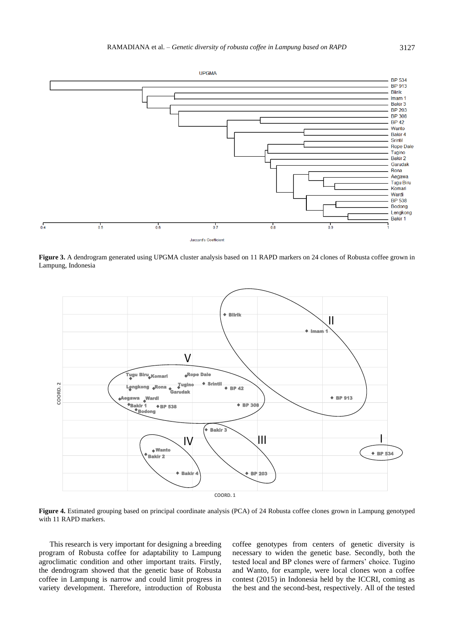

**Figure 3.** A dendrogram generated using UPGMA cluster analysis based on 11 RAPD markers on 24 clones of Robusta coffee grown in Lampung, Indonesia



**Figure 4.** Estimated grouping based on principal coordinate analysis (PCA) of 24 Robusta coffee clones grown in Lampung genotyped with 11 RAPD markers.

This research is very important for designing a breeding program of Robusta coffee for adaptability to Lampung agroclimatic condition and other important traits. Firstly, the dendrogram showed that the genetic base of Robusta coffee in Lampung is narrow and could limit progress in variety development. Therefore, introduction of Robusta coffee genotypes from centers of genetic diversity is necessary to widen the genetic base. Secondly, both the tested local and BP clones were of farmers' choice. Tugino and Wanto, for example, were local clones won a coffee contest (2015) in Indonesia held by the ICCRI, coming as the best and the second-best, respectively. All of the tested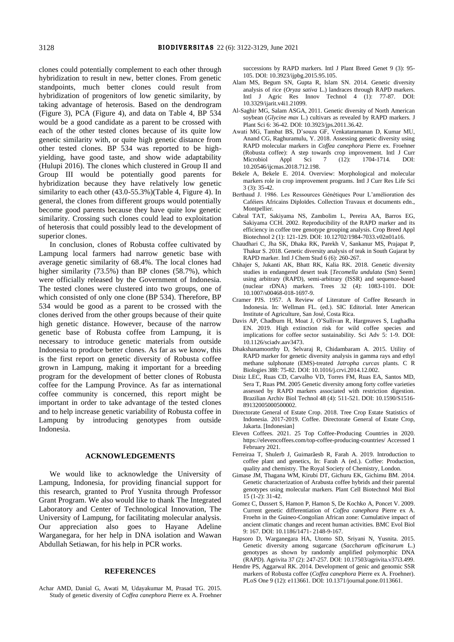clones could potentially complement to each other through hybridization to result in new, better clones. From genetic standpoints, much better clones could result from hybridization of progenitors of low genetic similarity, by taking advantage of heterosis. Based on the dendrogram (Figure 3), PCA (Figure 4), and data on Table 4, BP 534 would be a good candidate as a parent to be crossed with each of the other tested clones because of its quite low genetic similarity with, or quite high genetic distance from other tested clones. BP 534 was reported to be highyielding, have good taste, and show wide adaptability (Hulupi 2016). The clones which clustered in Group II and Group III would be potentially good parents for hybridization because they have relatively low genetic similarity to each other  $(43.0\n-55.3%)$  (Table 4, Figure 4). In general, the clones from different groups would potentially become good parents because they have quite low genetic similarity. Crossing such clones could lead to exploitation of heterosis that could possibly lead to the development of superior clones.

In conclusion, clones of Robusta coffee cultivated by Lampung local farmers had narrow genetic base with average genetic similarity of 68.4%. The local clones had higher similarity (73.5%) than BP clones (58.7%), which were officially released by the Government of Indonesia. The tested clones were clustered into two groups, one of which consisted of only one clone (BP 534). Therefore, BP 534 would be good as a parent to be crossed with the clones derived from the other groups because of their quite high genetic distance. However, because of the narrow genetic base of Robusta coffee from Lampung, it is necessary to introduce genetic materials from outside Indonesia to produce better clones. As far as we know, this is the first report on genetic diversity of Robusta coffee grown in Lampung, making it important for a breeding program for the development of better clones of Robusta coffee for the Lampung Province. As far as international coffee community is concerned, this report might be important in order to take advantage of the tested clones and to help increase genetic variability of Robusta coffee in Lampung by introducing genotypes from outside Indonesia.

## **ACKNOWLEDGEMENTS**

We would like to acknowledge the University of Lampung, Indonesia, for providing financial support for this research, granted to Prof Yusnita through Professor Grant Program. We also would like to thank The Integrated Laboratory and Center of Technological Innovation, The University of Lampung, for facilitating molecular analysis. Our appreciation also goes to Hayane Adeline Warganegara, for her help in DNA isolation and Wawan Abdullah Setiawan, for his help in PCR works.

## **REFERENCES**

Achar AMD, Danial G, Awati M, Udayakumar M, Prasad TG. 2015. Study of genetic diversity of *Coffea canephora* Pierre ex A. Froehner successions by RAPD markers. Intl J Plant Breed Genet 9 (3): 95- 105. DOI: 10.3923/ijpbg.2015.95.105.

- Alam MS, Begum SN, Gupta R, Islam SN. 2014. Genetic diversity analysis of rice (*Oryza sativa* L.) landraces through RAPD markers. Intl J Agric Res Innov Technol 4 (1): 77-87. DOI: 10.3329/ijarit.v4i1.21099.
- Al-Saghir MG, Salam ASGA, 2011. Genetic diversity of North American soybean (*Glycine max* L.) cultivars as revealed by RAPD markers. J Plant Sci 6: 36-42. DOI: 10.3923/jps.2011.36.42.
- Awati MG, Tambat BS, D'souza GF, Venkataramanan D, Kumar MU, Anand CG, Raghuramulu, Y. 2018. Assessing genetic diversity using RAPD molecular markers in *Coffea canephora* Pierre ex. Froehner (Robusta coffee): A step towards crop improvement. Intl J Curr<br>Microbiol Appl Sci 7 (12): 1704-1714. DOI: Microbiol Appl Sci 7 (12): 1704-1714. DOI: [10.20546/ijcmas.2018.712.198.](https://doi.org/10.20546/ijcmas.2018.712.198)
- Bekele A, Bekele E. 2014. Overview: Morphological and molecular markers role in crop improvement programs. Intl J Curr Res Life Sci 3 (3): 35-42.
- Berthaud J. 1986. Les Ressources Génétiques Pour L'amélioration des Caféiers Africains Diploïdes. Collection Travaux et documents edn., Montpellier.
- Cabral TAT, Sakiyama NS, Zambolim L, Pereira AA, Barros EG, Sakiyama CCH. 2002. Reproducibility of the RAPD marker and its efficiency in coffee tree genotype grouping analysis. Crop Breed Appl Biotechnol 2 (1): 121-129. DOI: 10.12702/1984-7033.v02n01a16.
- Chaudhari C, Jha SK, Dhaka RK, Parekh V, Sankanur MS, Prajapat P, Thakur S. 2018. Genetic diversity analysis of teak in South Gujarat by RAPD marker. Intl J Chem Stud 6 (6): 260-267.
- Chhajer S, Jukanti AK, Bhatt RK, Kalia RK. 2018. Genetic diversity studies in endangered desert teak [*Tecomella undulata* (Sm) Seem] using arbitrary (RAPD), semi-arbitrary (ISSR) and sequence-based (nuclear rDNA) markers. Trees 32 (4): 1083-1101. [DOI:](https://doi.org/10.1007/s00468-018-1697-9)  [10.1007/s00468-018-1697-9.](https://doi.org/10.1007/s00468-018-1697-9)
- Cramer PJS. 1957. A Review of Literature of Coffee Research in Indonesia. In: Wellman FL. (ed.). SIC Editorial. Inter American Institute of Agriculture, San José, Costa Rica.
- Davis AP, Chadburn H, Moat J, O'Sullivan R, Hargreaves S, Lughadha EN. 2019. High extinction risk for wild coffee species and implications for coffee sector sustainability. Sci Adv 5: 1-9. DOI: 10.1126/sciadv.aav3473.
- Dhakshanamoorthy D, Selvaraj R, Chidambaram A. 2015. Utility of RAPD marker for genetic diversity analysis in gamma rays and ethyl methane sulphonate (EMS)-treated *Jatropha curcas* plants. C R Biologies 388: 75-82. DOI: 10.1016/j.crvi.2014.12.002.
- Diniz LEC, Ruas CD, Carvalho VD, Torres FM, Ruas EA, Santos MD, Sera T, Ruas PM. 2005 Genetic diversity among forty coffee varieties assessed by RAPD markers associated with restriction digestion. Brazilian Archiv Biol Technol 48 (4): 511-521. DOI: 10.1590/S1516- 89132005000500002.
- Directorate General of Estate Crop. 2018. Tree Crop Estate Statistics of Indonesia. 2017-2019. Coffee. Directorate General of Estate Crop, Jakarta. [Indonesian]
- Eleven Coffees. 2021. 25 Top Coffee-Producing Countries in 2020. <https://elevencoffees.com/top-coffee-producing-countries/> Accessed 1 February 2021.
- Ferreiraa T, Shulerb J, Guimarãesb R, Farah A. 2019. Introduction to coffee plant and genetics, In: Farah A (ed.). Coffee: Production, quality and chemistry. The Royal Society of Chemistry, London.
- Gimase JM, Thagana WM, Kirubi DT, Gichuru EK, Gichimu BM. 2014. Genetic characterization of Arabusta coffee hybrids and their parental genotypes using molecular markers. Plant Cell Biotechnol Mol Biol 15 (1-2): 31-42.
- Gomez C, Dussert S, Hamon P, Hamon S, De Kochko A, Poncet V. 2009. Current genetic differentiation of *Coffea canephora* Pierre ex A. Froehn in the Guineo-Congolian African zone: Cumulative impact of ancient climatic changes and recent human activities. BMC Evol Biol 9: 167. DOI: 10.1186/1471- 2148-9-167.
- Hapsoro D, Warganegara HA, Utomo SD, Sriyani N, Yusnita. 2015. Genetic diversity among sugarcane (*Saccharum officinarum* L.) genotypes as shown by randomly amplified polymorphic DNA (RAPD). Agrivita 37 (2): 247-257. DOI: 10.17503/agrivita.v37i3.499.
- Hendre PS, Aggarwal RK. 2014. Development of genic and genomic SSR markers of Robusta coffee (*Coffea canephora* Pierre ex A. Froehner). PLoS One 9 (12): e113661[. DOI: 10.1371/journal.pone.0113661.](https://doi.org/10.1371/journal.pone.0113661)